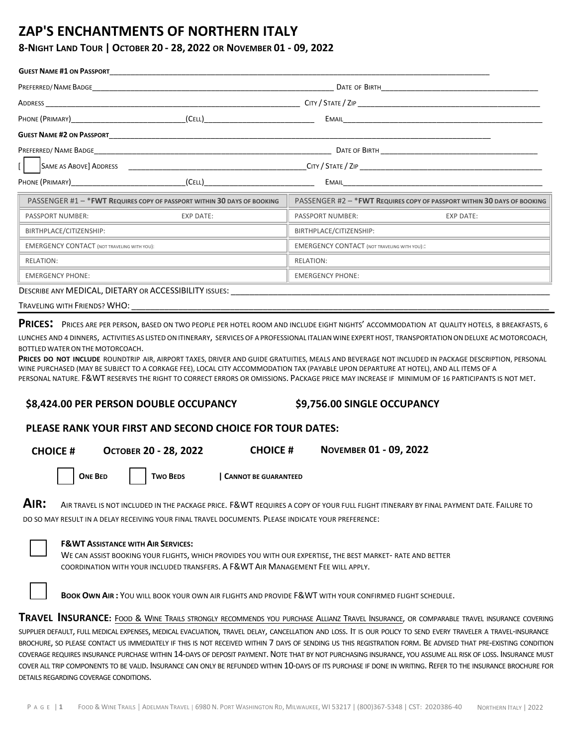## **ZAP'S ENCHANTMENTS OF NORTHERN ITALY**

#### **8-NIGHT LAND TOUR | OCTOBER 20 ‐ 28, 2022 OR NOVEMBER 01 - 09, 2022**

| <b>GUEST NAME #1 ON PASSPORT</b>                                         |           |                                                     |                                                                          |  |  |
|--------------------------------------------------------------------------|-----------|-----------------------------------------------------|--------------------------------------------------------------------------|--|--|
| PREFERRED/ NAME BADGE                                                    |           |                                                     |                                                                          |  |  |
|                                                                          |           |                                                     |                                                                          |  |  |
|                                                                          |           |                                                     |                                                                          |  |  |
|                                                                          |           |                                                     |                                                                          |  |  |
|                                                                          |           |                                                     |                                                                          |  |  |
|                                                                          |           |                                                     |                                                                          |  |  |
|                                                                          |           |                                                     |                                                                          |  |  |
| PASSENGER #1 - * FWT REQUIRES COPY OF PASSPORT WITHIN 30 DAYS OF BOOKING |           |                                                     | PASSENGER #2 - * FWT REQUIRES COPY OF PASSPORT WITHIN 30 DAYS OF BOOKING |  |  |
| PASSPORT NUMBER:                                                         | EXP DATE: | PASSPORT NUMBER:                                    | <b>EXP DATE:</b>                                                         |  |  |
| BIRTHPLACE/CITIZENSHIP:                                                  |           | BIRTHPLACE/CITIZENSHIP:                             |                                                                          |  |  |
| <b>EMERGENCY CONTACT (NOT TRAVELING WITH YOU):</b>                       |           | <b>EMERGENCY CONTACT (NOT TRAVELING WITH YOU)::</b> |                                                                          |  |  |
| RELATION:                                                                |           | RELATION:                                           |                                                                          |  |  |
| <b>EMERGENCY PHONE:</b>                                                  |           | <b>EMERGENCY PHONE:</b>                             |                                                                          |  |  |
| <u> Bessee Southar BLOAT BIRTABY - A GOFCCIBILITY (1998)</u>             |           |                                                     |                                                                          |  |  |

DESCRIBE ANY MEDICAL, DIETARY OR ACCESSIBILITY ISSUES:

| TRAVELING WITH FRIENDS? WHO: |  |
|------------------------------|--|
|                              |  |

**PRICES:** <sup>P</sup>RICES ARE PER PERSON, BASED ON TWO PEOPLE PER HOTEL ROOM AND INCLUDE EIGHT NIGHTS' ACCOMMODATION AT QUALITY HOTELS, <sup>8</sup> BREAKFASTS, <sup>6</sup>

LUNCHES AND 4 DINNERS, ACTIVITIES AS LISTED ON ITINERARY, SERVICES OF A PROFESSIONAL ITALIAN WINE EXPERT HOST, TRANSPORTATION ON DELUXE AC MOTORCOACH, BOTTLED WATER ON THE MOTORCOACH.

**PRICES DO NOT INCLUDE** ROUNDTRIP AIR, AIRPORT TAXES, DRIVER AND GUIDE GRATUITIES, MEALS AND BEVERAGE NOT INCLUDED IN PACKAGE DESCRIPTION, PERSONAL WINE PURCHASED (MAY BE SUBJECT TO A CORKAGE FEE), LOCAL CITY ACCOMMODATION TAX (PAYABLE UPON DEPARTURE AT HOTEL), AND ALL ITEMS OF A PERSONAL NATURE. F&WT RESERVES THE RIGHT TO CORRECT ERRORS OR OMISSIONS. PACKAGE PRICE MAY INCREASE IF MINIMUM OF 16 PARTICIPANTS IS NOT MET.

#### **\$9,756.00 SINGLE OCCUPANCY \$8,424.00 PER PERSON DOUBLE OCCUPANCY**

#### **PLEASE RANK YOUR FIRST AND SECOND CHOICE FOR TOUR DATES:**

| <b>CHOICE#</b> |  |  |
|----------------|--|--|
|----------------|--|--|

**CHOICE # OCTOBER 20 - 28, 2022 CHOICE # NOVEMBER 01 - 09, 2022**

**ONE BED TWO BEDS | CANNOT BE GUARANTEED** 

**AIR:** <sup>A</sup>IR TRAVEL IS NOT INCLUDED IN THE PACKAGE PRICE. F&WT REQUIRES A COPY OF YOUR FULL FLIGHT ITINERARY BY FINAL PAYMENT DATE. FAILURE TO DO SO MAY RESULT IN A DELAY RECEIVING YOUR FINAL TRAVEL DOCUMENTS. PLEASE INDICATE YOUR PREFERENCE:

#### **F&WT ASSISTANCE WITH AIR SERVICES:**

WE CAN ASSIST BOOKING YOUR FLIGHTS, WHICH PROVIDES YOU WITH OUR EXPERTISE, THE BEST MARKET‐ RATE AND BETTER COORDINATION WITH YOUR INCLUDED TRANSFERS. A F&WT AIR MANAGEMENT FEE WILL APPLY.

**BOOK OWN AIR :** YOU WILL BOOK YOUR OWN AIR FLIGHTS AND PROVIDE F&WT WITH YOUR CONFIRMED FLIGHT SCHEDULE.

**TRAVEL INSURANCE:** FOOD & WINE TRAILS STRONGLY RECOMMENDS YOU PURCHASE ALLIANZ TRAVEL INSURANCE, OR COMPARABLE TRAVEL INSURANCE COVERING SUPPLIER DEFAULT, FULL MEDICAL EXPENSES, MEDICAL EVACUATION, TRAVEL DELAY, CANCELLATION AND LOSS. IT IS OUR POLICY TO SEND EVERY TRAVELER A TRAVEL‐INSURANCE BROCHURE, SO PLEASE CONTACT US IMMEDIATELY IF THIS IS NOT RECEIVED WITHIN 7 DAYS OF SENDING US THIS REGISTRATION FORM. BE ADVISED THAT PRE-EXISTING CONDITION COVERAGE REQUIRES INSURANCE PURCHASE WITHIN 14-DAYS OF DEPOSIT PAYMENT. NOTE THAT BY NOT PURCHASING INSURANCE, YOU ASSUME ALL RISK OF LOSS. INSURANCE MUST COVER ALL TRIP COMPONENTS TO BE VALID. INSURANCE CAN ONLY BE REFUNDED WITHIN 10‐DAYS OF ITS PURCHASE IF DONE IN WRITING. REFER TO THE INSURANCE BROCHURE FOR DETAILS REGARDING COVERAGE CONDITIONS.